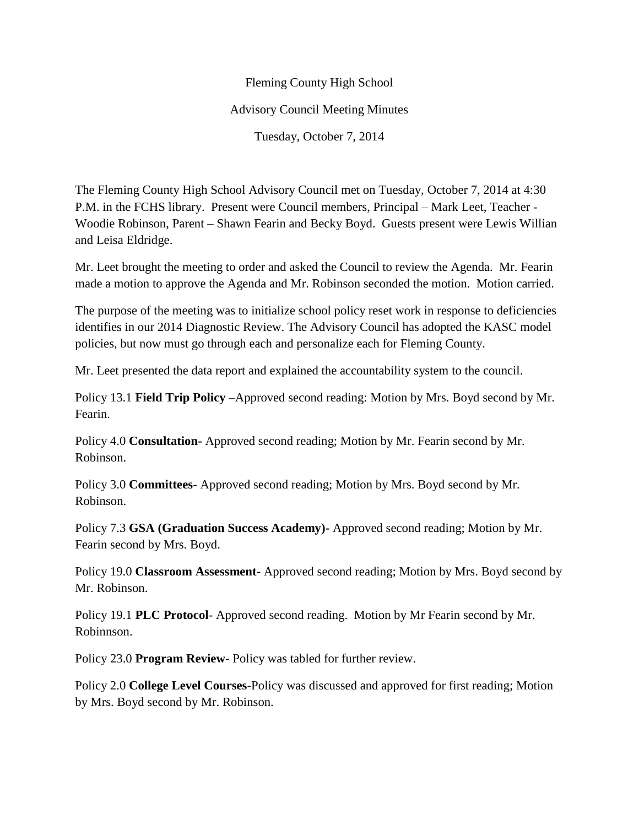## Fleming County High School Advisory Council Meeting Minutes Tuesday, October 7, 2014

The Fleming County High School Advisory Council met on Tuesday, October 7, 2014 at 4:30 P.M. in the FCHS library. Present were Council members, Principal – Mark Leet, Teacher - Woodie Robinson, Parent – Shawn Fearin and Becky Boyd. Guests present were Lewis Willian and Leisa Eldridge.

Mr. Leet brought the meeting to order and asked the Council to review the Agenda. Mr. Fearin made a motion to approve the Agenda and Mr. Robinson seconded the motion. Motion carried.

The purpose of the meeting was to initialize school policy reset work in response to deficiencies identifies in our 2014 Diagnostic Review. The Advisory Council has adopted the KASC model policies, but now must go through each and personalize each for Fleming County.

Mr. Leet presented the data report and explained the accountability system to the council.

Policy 13.1 **Field Trip Policy** –Approved second reading: Motion by Mrs. Boyd second by Mr. Fearin.

Policy 4.0 **Consultation-** Approved second reading; Motion by Mr. Fearin second by Mr. Robinson.

Policy 3.0 **Committees**- Approved second reading; Motion by Mrs. Boyd second by Mr. Robinson.

Policy 7.3 **GSA (Graduation Success Academy)-** Approved second reading; Motion by Mr. Fearin second by Mrs. Boyd.

Policy 19.0 **Classroom Assessment-** Approved second reading; Motion by Mrs. Boyd second by Mr. Robinson.

Policy 19.1 **PLC Protocol**- Approved second reading. Motion by Mr Fearin second by Mr. Robinnson.

Policy 23.0 **Program Review**- Policy was tabled for further review.

Policy 2.0 **College Level Courses**-Policy was discussed and approved for first reading; Motion by Mrs. Boyd second by Mr. Robinson.